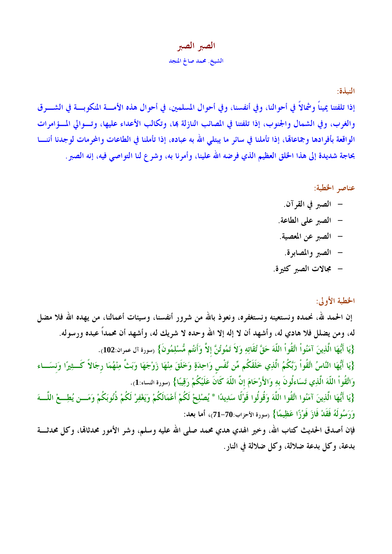## الصبر الصبر الشيخ. محمد صالح المنجد

النبذة:

إذا تلفتنا يميناً وشمالاً في أحوالنا، وفي أنفسنا، وفي أحوال المسلمين، في أحوال هذه الأمسة المنكوبسة في الشسرق والغرب، وفي الشمال والجنوب، إذا تلفتنا في المصائب النازلة بما، وتكالب الأعداء عليها، وتسوالي المسؤامرات الواقعة بأفرادها وجماعاهّا، إذا تأملنا في سائر ما يبتلي الله به عباده، إذا تأملنا في الطاعات والمحرمات لوجدنا أننسا بحاجة شديدة إلى هذا الخلق العظيم الذي فرضه الله علينا، وأمرنا به، وشرع لنا التواصي فيه، إنه الصبر .

## عناصر الخطبة:

- الصبر في القرآن. – الصبر على الطاعة. – الصبر عن المعصية. – الصبر والمصابرة.
- مجالات الصبر كثيرة.

## الخطبة الأولى:

إن الحمد لله، نحمده ونستعينه ونستغفره، ونعوذ بالله من شرور أنفسنا، وسيئات أعمالنا، من يهده الله فلا مضل له، ومن يضلل فلا هادي له، وأشهد أن لا إله إلا الله وحده لا شريك له، وأشهد أن محمداً عبده ورسوله. {يَا أَيُّهَا الَّذِينَ آمَنُواْ اتَّقُواْ اللَّهَ حَقَّ تُقَاتِهِ وَلاَ تَمُوتُنَّ إلاَّ وَأَنتُم مُّسْلِمُونَ} (سورة آل عمران:102). {يَا أَيُّهَا النَّاسُ اتَّقُواْ رَبَّكُمُ الَّذِي خَلَقَكُم مِّن نَّفْس وَاحِدَةٍ وَخَلَقَ مِنْهَا زَوْجَهَا وَبَثَّ مِنْهُمَا رِجَالاً كَــثِيرًا وَنسَــاء وَاتَّقُواْ اللَّهَ الَّذِي تَسَاءلُونَ بِهِ وَالأَرْحَامَ إنَّ اللَّهَ كَانَ عَلَيْكُمْ رَقِيبًا} (سورة النساء:1). {يَا أَيُّهَا الَّذِينَ آمَنُوا اتَّقُوا اللَّهَ وَقُولُوا قَوْلًا سَدِيدًا \* يُصْلِحْ لَكُمْ أَعْمَالَكُمْ وَيَغْفِرْ لَكُمْ ذُنُوبَكُمْ وَمَـــن يُطِـــعْ اللَّـــهَ وَرَسُولَهُ فَقَدْ فَازَ فَوْزًا عَظِيمًا} (سورة الأحزاب:70–71)، أما بعد: فإن أصدق الحديث كتاب الله، وخير الهدي هدي محمد صلى الله عليه وسلم، وشر الأمور محدثالها، وكل محدثــــة بدعة، وكل بدعة ضلالة، وكل ضلالة في النار .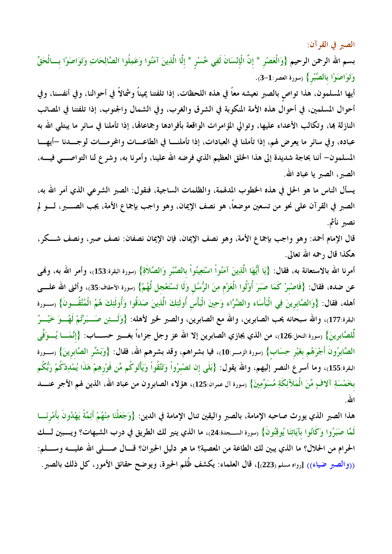الصبر في القرآن:

بسم الله الرحمن الرحيم {وَالْعَصْرِ \* إنَّ الْإِنْسَانَ لَفِي خُسْرٍ \* إلَّا الَّذِينَ آمَنُوا وَعَمِلُوا الصَّالِحَاتِ وَتَوَاصَوْا بِسَالْحَقِّ وَتَوَاصَوْا بِالصَّبْرِ} (سورة العصر:1-3).

أيها المسلمون، هذا تواص بالصبر نعيشه معاً في هذه اللحظات، إذا تلفتنا يميناً وشمالاً في أحوالنا، وفي أنفسنا، وفي أحوال المسلمين، في أحوال هذه الأمة المنكوبة في الشرق والغرب، وفي الشمال والجنوب، إذا تلفتنا في المصائب النازلة بما، وتكالب الأعداء عليها، وتوالى المؤامرات الواقعة بأفرادها وجماعاقما، إذا تأملنا في سائر ما يبتلى الله به عباده، وفي سائر ما يعرض لهم، إذا تأملنا في العبادات، إذا تأملنــــا في الطاعــــات والمحرمــــات لوجــــدنا –أيهــــا المسلمون– أننا بحاجة شديدة إلى هذا الحلق العظيم الذي فرضه الله علينا، وأمرنا به، وشرع لنا التواصــــي فيــــه، الصبر ، الصبر يا عباد الله.

يسأل الناس ما هو الحل في هذه الخطوب المدلهمة، والظلمات الساجية، فنقول: الصبر الشرعي الذي أمر الله به، الصبر في القرآن على نحو من تسعين موضعًا، هو نصف الإيمان، وهو واجب بإجماع الأمة، يجب الصــــــــــر، لــــــو لم نصبر نأثم.

قال الإمام أحمد: وهو واجب بإجماع الأمة، وهو نصف الإيمان، فإن الإيمان نصفان: نصف صبر، ونصف شـــكر، هكذا قال رحمه الله تعالى.

أمرنا الله بالاستعانة به، فقال: {يَا أَيُّهَا الَّذِينَ آمَنُواْ اسْتَعِينُواْ بالصَّبْرِ وَالصَّلاَةِ} رسورة البقرة:153)، وأمر الله به، ولهي عن ضده، فقال: {فَاصْبرْ كَمَا صَبَرَ أُوْلُوا الْعَرْمِ مِنَ الرُّسُل وَلَا تَسْتَعْجل لَّهُمْ} (سورة الأحقاف:35)، وأثنى الله علــــى أهله، فقال: {وَالصَّابرينَ فِي الْبَأْسَاء والضَّرَّاء وَحِينَ الْبَأْسِ أُولَئِكَ الَّذِينَ صَدَقُوا وَأُولَئِكَ هُمُ الْمُتَّقُـــونَ} (ســـورة البقرة:177)، والله سبحانه يحب الصابرين، والله مع الصابرين، والصبر لخير لأهله: {وَلَـــئِن صَـــبَرْتُمْ لَهُـــوَ خَيْـــرٌ لِّلصَّابرينَ} (سورة النحل:126)، من الذي يجازي الصابرين إلا الله عز وجل جزاءاً بغــــير حســـــاب: {إنَّمَـــا يُـــوَفَّى الصَّابِرُونَ أَجْرَهُم بغَيْرِ حِسَابٍ} (سورة الزمــر:10)، فيا بشراهم، وقد بشرهم الله، فقال: {وَبَشِّر الصَّابرينَ} (ســورة البقرة:155)، وما أسرع النصر إليهم، والله يقول: {بَلَى إن تَصْبرُواْ وَتَتَّقُواْ وَيَأْتُوكُم مِّن فَوْرهِمْ هَذَا يُمْدِدْكُمْ رَبُّكُم بخَمْسَةِ آلافٍ مِّنَ الْمَلآئِكَةِ مُسَوِّمِينَ} (سورة آل عمران:125)، هؤلاء الصابرون من عباد الله، الذين لهم الأجر عنــــــــد الله.

هذا الصبر الذي يورث صاحبه الإمامة، بالصبر واليقين تنال الإمامة في الدين: {وَجَعَلْنَا مِنْهُمْ أَئِمَّةً يَهْدُونَ بأَمْرِنَـــا لَمَّا صَبَرُوا وَكَانُوا بِآيَاتِنَا يُوقِنُونَ} <sub>(سورة الســجدة:24)،</sub> ما الذي ينير لك الطريق في درب الشبهات؟ ويـــبين لـــك الحرام من الحلال؟ ما الذي يبين لك الطاعة من المعصية؟ ما هو دليل الحيران؟ قـــال صــــلى الله عليــــه وســــلم: ((والصبر ضياء)) [رواه مسلم(223]]، قال العلماء: يكشف ظُلم الحيرة، ويوضح حقائق الأمور، كل ذلك بالصبر.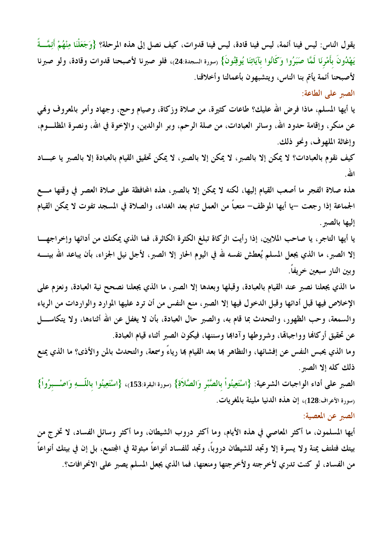يقول الناس: ليس فينا أئمة، ليس فينا قادة، ليس فينا قدوات، كيف نصل إلى هذه المرحلة؟ {وَجَعَلْنَا مِنْهُمْ أَئِمَّــةً يَهْدُونَ بأَمْرِنَا لَمَّا صَبَرُوا وَكَانُوا بآيَاتِنَا يُوقِنُونَ} (سورة السجدة:24)، فلو صبرنا لأصبحنا قدوات وقادة، ولو صبرنا لأصبحنا أئمة يأتم بنا الناس، ويتشبهون بأعمالنا وأخلاقنا.

الصبر على الطاعة:

يا أيها المسلم، ماذا فرض الله عليك؟ طاعات كثيرة، من صلاة وزكاة، وصيام وحج، وجهاد وأمر بالمعروف وفمي عن منكرٍ، وإقامة حدود الله، وسائر العبادات، من صلة الرحم، وبر الوالدين، والإخوة في الله، ونصرة المظلــــوم، وإغاثة الملهوف، ونحو ذلك.

كيف نقوم بالعبادات؟ لا يمكن إلا بالصبر، لا يمكن إلا بالصبر، لا يمكن تحقيق القيام بالعبادة إلا بالصبر يا عبساد الله

هذه صلاة الفجر ما أصعب القيام إليها، لكنه لا يمكن إلا بالصبر ، هذه المحافظة على صلاة العصر في وقتها مسع الجماعة إذا رجعت –يا أيها الموظف– متعبًّا من العمل تنام بعد الغداء، والصلاة في المسجد تفوت لا يمكن القيام إليها بالصبر.

يا أيها التاجر، يا صاحب الملايين، إذا رأيت الزكاة تبلغ الكثرة الكاثرة، فما الذي يمكنك من أدائها وإخراجهــا إلا الصبر، ما الذي يجعل المسلم يُعطش نفسه لله في اليوم الحار إلا الصبر، لأجل نيل الجزاء، بأن يباعد الله بينــــه وبين النار سبعين خريفاً.

ما الذي يجعلنا نصبر عند القيام بالعبادة، وقبلها وبعدها إلا الصبر، ما الذي يجعلنا نصحح نية العبادة، ونعزم على الإخلاص فيها قبل أدائها وقبل الدخول فيها إلا الصبر، منع النفس من أن ترد عليها الموارد والواردات من الرياء والسمعة، وحب الظهور، والتحدث بما قام به، والصبر حال العبادة، بأن لا يغفل عن الله أثناءها، ولا يتكاســـل عن تحقيق أركالها وواجبالها، وشروطها وآداها وسننها، فيكون الصبر أثناء قيام العبادة.

وما الذي يحبس النفس عن إفشائها، والتظاهر بما بعد القيام بما رياءً وسمعة، والتحدث بالمن والأذى؟ ما الذي يمنع ذلك كله إلا الصبر .

الصبر على أداء الواجبات الشرعية: {اسْتَعِينُواْ بالصَّبْرِ وَالصَّلاَةِ} (سورة البقرة:153)، {اسْتَعِينُوا باللَّـــهِ وَاصْـــبرُواْ} رسورة الأعراف:128)، إن هذه الدنيا مليئة بالمغريات.

الصبر عن المعصية:

أيها المسلمون، ما أكثر المعاصي في هذه الأيام، وما أكثر دروب الشيطان، وما أكثر وسائل الفساد، لا تخرج من بيتك فتلتف يمنة ولا يسرة إلا وتجد للشيطان دروباً، وتجد للفساد أنواعاً مبثوثة في المجتمع، بل إن في بيتك أنواعاً من الفساد، لو كنت تدري لأخرجته ولأخرجتها ومنعتها، فما الذي يجعل المسلم يصبر على الانحرافات؟.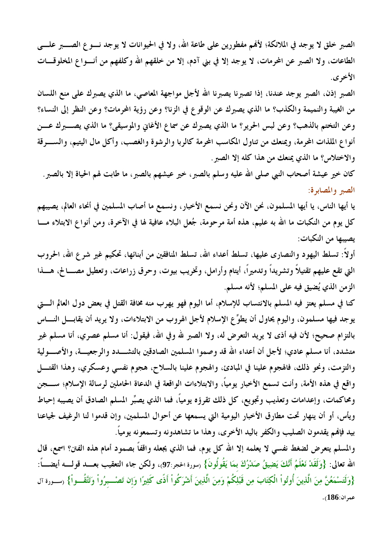الصبر خلق لا يوجد في الملائكة؛ لأفمم مفطورين على طاعة الله، ولا في الحيوانات لا يوجد نـــو ع الصــــبر علــــي الطاعات، ولا الصبر عن المحرمات، لا يوجد إلا في بني آدم، إلا من خلقهم الله وكلفهم من أنسواع المخلوقـــات الأخرى.

الصبر إذن، الصبر يوجد عندنا، إذا تصبرنا يصبرنا الله لأجل مواجهة المعاصي، ما الذي يصبرك على منع اللسان من الغيبة والنميمة والكذب؟ ما الذي يصبرك عن الوقوع في الزنا؟ وعن رؤية المحرمات؟ وعن النظر إلى النساء؟ وعن التختم بالذهب؟ وعن لبس الحرير؟ ما الذي يصبرك عن سماع الأغابي والموسيقى؟ ما الذي يصـــــــبرك عــــن أنواع الملذات المحرمة، ويمنعك من تناول المكاسب المحرمة كالربا والرشوة والغصب، وأكل مال اليتيم، والســـرقة والاختلاس؟ ما الذي يمنعك من هذا كله إلا الصبر .

كان خير عيشة أصحاب النبي صلى الله عليه وسلم بالصبر، خير عيشهم بالصبر، ما طابت لهم الحياة إلا بالصبر . الصير والمصابرة:

يا أيها الناس، يا أيها المسلمون، نحن الآن ونحن نسمع الأخبار، ونسمع ما أصاب المسلمين في أنحاء العالم، يصيبهم كل يوم من النكبات ما الله به عليم، هذه أمة مرحومة، جُعل البلاء عافية لها في الآخرة، ومن أنواع الابتلاء مـــا يصيبها من النكبات:

أولاً: تسلط اليهود والنصاري عليها، تسلط أعداء الله، تسلط المنافقين من أبنائها، تحكيم غير شرع الله، الحروب التي تقع عليهم تقتيلاً وتشريداً وتدميراً، أيتام وأرامل، وتخريب بيوت، وحرق زراعات، وتعطيل مصــــالح، هــــذا الزمن الذي يُضيق فيه على المسلم؛ لأنه مسلم.

كنا في مسلم يعتز فيه المسلم بالانتساب للإسلام، أما اليوم فهو يهرب منه مخافة القتل في بعض دول العالم الــــتى يوجد فيها مسلمون، واليوم يحاول أن يطوِّع الإسلام لأجل الهروب من الابتلاءات، ولا يريد أن يقابـــل النــــاس بالتزام صحيح؛ لأن فيه أذى لا يريد التعرض له، ولا الصبر لله وفي الله، فيقول: أنا مسلم عصري، أنا مسلم غير متشدد، أنا مسلم عادي؛ لأجل أن أعداء الله قد وصموا المسلمين الصادقين بالتشــــدد والرجعيـــة، والأصــــولية والتزمت، ونحو ذلك، فالهجوم علينا في المبادئ، والهجوم علينا بالسلاح، هجوم نفسي وعسكري، وهذا القتـــل واقع في هذه الأمة، وأنت تسمع الأخبار يومياً، والابتلاءات الواقعة في الدعاة الحاملين لرسالة الإسلام؛ ســــجن ومحاكمات، وإعدامات وتعذيب وتجويع، كل ذلك تقرؤه يومياً، فما الذي يصبِّر المسلم الصادق أن يصيبه إحباط ويأس، أو أن ينهار تحت مطارق الأخبار اليومية التي يسمعها عن أحوال المسلمين، وإن قدموا لنا الرغيف لجياعنا بيد فإنهم يقدمون الصليب والكفر باليد الأخرى، وهذا ما تشاهدونه وتسمعونه يومياً.

والمسلم يتعرض لضغط نفسي لا يعلمه إلا الله كل يوم، فما الذي يجعله واقفاً بصمود أمام هذه الفتن؟ اسمع، قال الله تعالى: {وَلَقَدْ نَعْلَمُ أَنَّكَ يَضِيقُ صَدْرُكَ بِمَا يَقُولُونَ} (سورة الحجر:97)، ولكن جاء التعقيب بعـــد قولــــه أيضــــاً: {وَلَتَسْمَعُنَّ مِنَ الَّذِينَ أُوتُواْ الْكِتَابَ مِن قَبْلِكُمْ وَمِنَ الَّذِينَ أَشْرَكُواْ أَذًى كَثِيرًا وَإن تَصْــبرُواْ وَتَتَّقُــواْ} (ســورة آل عمران:186).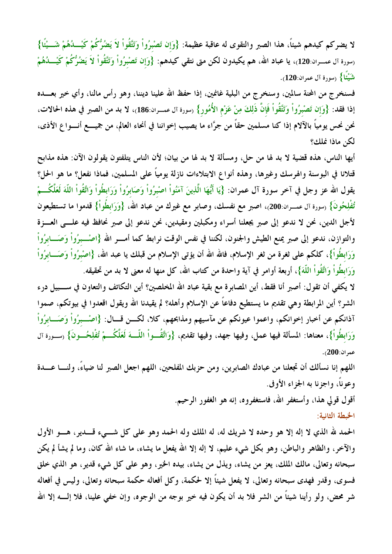لا يضركم كيدهم شيئاً، هذا الصبر والتقوى له عاقبة عظيمة: {وَإِن تَصْبِرُواْ وَتَتَّقُواْ لاَ يَضُرُّكُمْ كَيْـــدُهُمْ شَـــيْئَا} رسورة آل عمـــران:120)، يا عباد الله، هم يكيدون لكن متى نتقى كيدهم: {وَإِن تَصْبرُواْ وَتَتَّقُواْ لاَ يَضُرُّكُمْ كَيْـــدُهُمْ شَيْئًا} (سورة آل عمران:120).

فسنخرج من المحنة سالمين، وسنخرج من البلية غانمين، إذا حفظ الله علينا ديننا، وهو رأس مالنا، وأي خير بعـــده إذا فقد: {وَإِن تَصْبِرُواْ وَتَتَّقُواْ فَإِنَّ ذَلِكَ مِنْ عَزْمِ الأُمُورِ} (سورة آل عمــران:186)، لا بد من الصبر في هذه الحالات، نحن نحس يومياً بالآلام إذا كنا مسلمين حقاً من جرَّاء ما يصيب إخواننا في أنحاء العالم، من جميــــع أنــــواع الأذى، لكن ماذا نملك؟

أيها الناس، هذه قضية لا بد لها من حل، ومسألة لا بد لها من بيان؛ لأن الناس يتلفتون يقولون الآن: هذه مذابح قتلانا في البوسنة والهرسك وغيرها، وهذه أنواع الابتلاءات نازلة يومياً على المسلمين، فماذا نفعل؟ ما هو الحل؟ يقول الله عز وجل في آخر سورة آل عمران: {يَا أَيُّهَا الَّذِينَ آمَنُواْ اصْبرُواْ وَصَابرُواْ وَرَابطُواْ وَاتَّقُواْ اللَّهَ لَعَلَّكُـــمْ تُفْلِحُونَ} <sub>(سورة آل</sub> عمـــران:200)، اصبر مع نفسك، وصابر مع غيرك من عباد الله، {وَرَابطُواْ} قدموا ما تستطيعون لأجل الدين، نحن لا ندعو إلى صبر يجعلنا أسراء ومكبلين ومقيدين، نحن ندعو إلى صبر نحافظ فيه علـــي العـــزة والتوازن، ندعو إلى صبر يمنع الطيش والجنون، لكننا في نفس الوقت نرابط كما أمــــر الله {اصْــــبرُواْ وَصَـــابرُواْ وَرَابِطُواْ}، كلكم على ثغرة من ثغر الإسلام، فالله الله أن يؤتى الإسلام من قبلك يا عبد الله، {اصْبِرُواْ وَصَـــابرُواْ وَرَابِطُواْ وَاتَّقُواْ اللَّهَ}، أربعة أوامرٍ في آية واحدة من كتاب الله، كل منها له معنى لا بد من تحقيقه.

لا يكفي أن تقول: أصبر أنا فقط، أين المصابرة مع بقية عباد الله المخلصين؟ أين التكاتف والتعاون في ســــبيل درء الشر؟ أين المرابطة وهي تقديم ما يستطيع دفاعاً عن الإسلام وأهله؟ لم يقيدنا الله ويقول اقعدوا في بيوتكم، صموا آذانكم عن أخبار إخوانكم، واعموا عيونكم عن مآسيهم ومذابحهم، كلا، لكـــن قـــال: {اصْـــبرُواْ وَصَـــابرُواْ وَرَابطُواْ}، معناها: المسألة فيها عمل، وفيها جهد، وفيها تقديم، {وَاتَّقُــواْ اللّـــهَ لَعَلَّكُـــمْ تُفْلِحُــونَ} (ســورة آل عمر ان:200).

اللهم إنا نسألك أن تجعلنا من عبادك الصابرين، ومن حزبك المفلحين، اللهم اجعل الصبر لنا ضياءً، ولنــــا عــــدة وعوناً، واجزنا به الجزاء الأوفى.

> أقول قولي هذا، وأستغفر الله، فاستغفروه، إنه هو الغفور الرحيم. الخبطة الثانية:

الحمد لله الذي لا إله إلا هو وحده لا شريك له، له الملك وله الحمد وهو على كل شـــيء قـــدير، هــــو الأول والآخر، والظاهر والباطن، وهو بكل شيء عليم، لا إله إلا الله يفعل ما يشاء، ما شاء الله كان، وما لم يشأ لم يكن سبحانه وتعالى، مالك الملك، يعز من يشاء، ويذل من يشاء، بيده الخير، وهو على كل شيء قدير، هو الذي خلق فسوى، وقدر فهدى سبحانه وتعالى، لا يفعل شيئاً إلا لحكمة، وكل أفعاله حكمة سبحانه وتعالى، وليس في أفعاله شر محض، ولو رأينا شيئاً من الشر فلا بد أن يكون فيه خير بوجه من الوجوه، وإن خفي علينا، فلا إلــــه إلا الله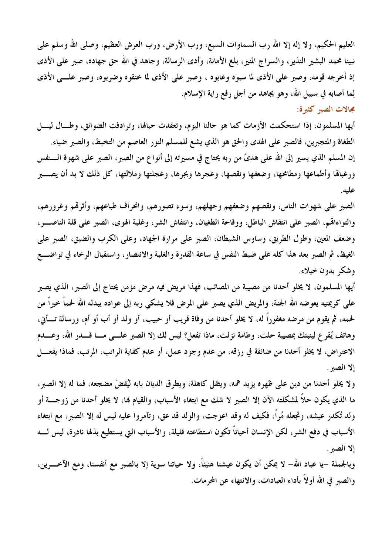العليم الحكيم، ولا إله إلا الله رب السماوات السبع، ورب الأرض، ورب العرش العظيم، وصلى الله وسلم على نبينا محمد البشير النذير، والسراج المنير، بلغ الأمانة، وأدى الرسالة، وجاهد في الله حق جهاده، صبر على الأذى إذ أخرجه قومه، وصبر على الأذى لما سبوه وعابوه ، وصبر على الأذى لما خنقوه وضربوه، وصبر علــى الأذى لِما أصابه في سبيل الله، وهو يجاهد من أجل رفع راية الإسلام.

مجالات الصبر كثيرة:

أيها المسلمون، إذا استحكمت الأزمات كما هو حالنا اليوم، وتعقدت حبالها، وترادفت الضوائق، وطـــال ليــــل الطغاة والمتجبرين، فالصبر على الهدي والحق هو الذي يشع للمسلم النور العاصم من التخبط، والصبر ضياء. إن المسلم الذي يسير إلى الله على هديَّ من ربه يحتاج في مسيرته إلى أنواع من الصبر، الصبر على شهوة الـــنفس ورغبالها وأطماعها ومطامحها، وضعفها ونقصها، وعجرها وبجرها، وعجلتها وملالتها، كل ذلك لا بد أن يصــــبر عليه.

الصبر على شهوات الناس، ونقصهم وضعفهم وجهلهم، وسوء تصورهم، وانحراف طباعهم، وأثرهُم وغرورهم، والتواءالهم، الصبر على انتفاش الباطل، ووقاحة الطغيان، وانتفاش الشر، وغلبة الهوى، الصبر على قلة الناصـــر، وضعف المعين، وطول الطريق، وساوس الشيطان، الصبر على مرارة الجهاد، وعلى الكرب والضيق، الصبر على الغيظ، ثم الصبر بعد هذا كله على ضبط النفس في ساعة القدرة والغلبة والانتصار، واستقبال الرخاء في تواضـــع وشکړ بدون خپلاءِ.

أيها المسلمون، لا يخلو أحدنا من مصيبة من المصائب، فهذا مريض فيه مرض مزمن يحتاج إلى الصبر، الذي يصبر على كريمتيه يعوضه الله الجنة، والمريض الذي يصبر على المرض فلا يشكى ربه إلى عواده يبدله الله لحماً خيراً من لحمه، ثم يقوم من مرضه مغفوراً له، لا يخلو أحدنا من وفاة قريب أو حبيب، أو ولد أو أب أو أم، ورسالة تــأتي، وهاتف يُقرع لينبئك بمصيبة حلت، وطامة نزلت، ماذا تفعل؟ ليس لك إلا الصبر علـــي مـــا قـــــدر الله، وعــــدم الاعتراض، لا يخلو أحدنا من ضائقة في رزقه، من عدم وجود عمل، أو عدم كفاية الراتب، المرتب، فماذا يفعـــل إلا الصبر .

ولا يخلو أحدنا من دين على ظهره يزيد همه، ويثقل كاهلة، ويطرق الديان بابه ليُقضَ مضجعه، فما له إلا الصبر، ما الذي يكون حلاً لمشكلته الآن إلا الصبر لا شك مع ابتغاء الأسباب، والقيام بما، لا يخلو أحدنا من زوجــــة أو ولد تُكدر عيشه، وتجعله مُراً، فكيف له وقد اعوجت، والولد قد عق، وتآمروا عليه ليس له إلا الصبر، مع ابتغاء الأسباب في دفع الشر، لكن الإنسان أحياناً تكون استطاعته قليلة، والأسباب التي يستطيع بذله نادرة، ليس لــــه إلا الصبر .

وبالجملة –يا عباد الله– لا يمكن أن يكون عيشنا هنيئاً، ولا حياتنا سوية إلا بالصبر مع أنفسنا، ومع الآخــــرين، والصبر في الله أولاً بأداء العبادات، والانتهاء عن المحرمات.